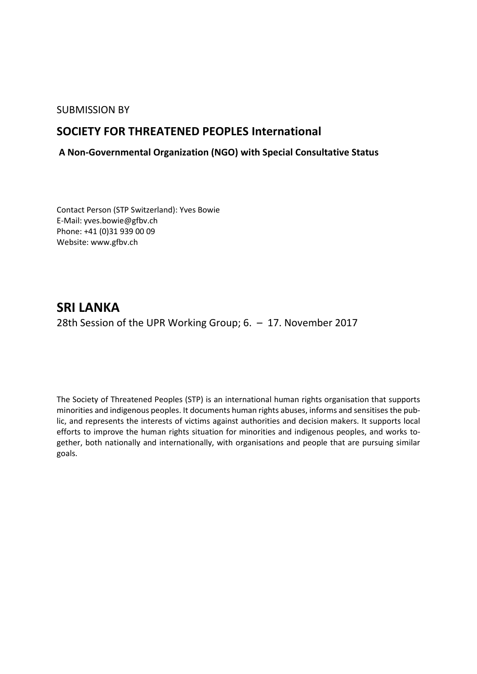### SUBMISSION BY

## **SOCIETY FOR THREATENED PEOPLES International**

## **A Non-Governmental Organization (NGO) with Special Consultative Status**

Contact Person (STP Switzerland): Yves Bowie E-Mail: yves.bowie@gfbv.ch Phone: +41 (0)31 939 00 09 Website: www.gfbv.ch

# **SRI LANKA**  28th Session of the UPR Working Group; 6. – 17. November 2017

The Society of Threatened Peoples (STP) is an international human rights organisation that supports minorities and indigenous peoples. It documents human rights abuses, informs and sensitises the public, and represents the interests of victims against authorities and decision makers. It supports local efforts to improve the human rights situation for minorities and indigenous peoples, and works together, both nationally and internationally, with organisations and people that are pursuing similar goals.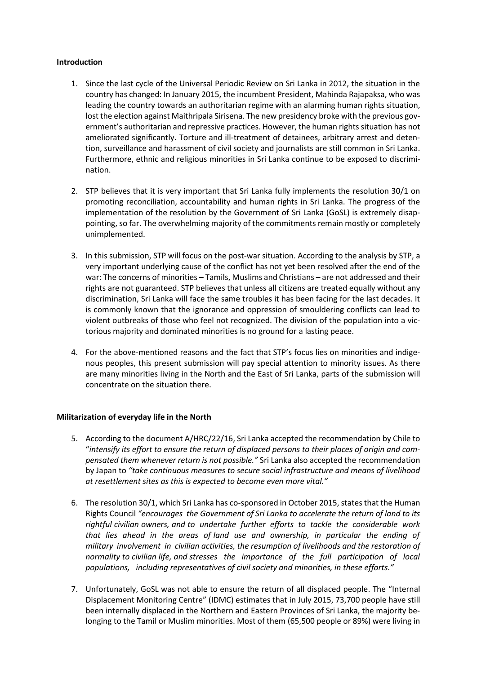#### **Introduction**

- 1. Since the last cycle of the Universal Periodic Review on Sri Lanka in 2012, the situation in the country has changed: In January 2015, the incumbent President, Mahinda Rajapaksa, who was leading the country towards an authoritarian regime with an alarming human rights situation, lost the election against Maithripala Sirisena. The new presidency broke with the previous government's authoritarian and repressive practices. However, the human rights situation has not ameliorated significantly. Torture and ill-treatment of detainees, arbitrary arrest and detention, surveillance and harassment of civil society and journalists are still common in Sri Lanka. Furthermore, ethnic and religious minorities in Sri Lanka continue to be exposed to discrimination.
- 2. STP believes that it is very important that Sri Lanka fully implements the resolution 30/1 on promoting reconciliation, accountability and human rights in Sri Lanka. The progress of the implementation of the resolution by the Government of Sri Lanka (GoSL) is extremely disappointing, so far. The overwhelming majority of the commitments remain mostly or completely unimplemented.
- 3. In this submission, STP will focus on the post-war situation. According to the analysis by STP, a very important underlying cause of the conflict has not yet been resolved after the end of the war: The concerns of minorities – Tamils, Muslims and Christians – are not addressed and their rights are not guaranteed. STP believes that unless all citizens are treated equally without any discrimination, Sri Lanka will face the same troubles it has been facing for the last decades. It is commonly known that the ignorance and oppression of smouldering conflicts can lead to violent outbreaks of those who feel not recognized. The division of the population into a victorious majority and dominated minorities is no ground for a lasting peace.
- 4. For the above-mentioned reasons and the fact that STP's focus lies on minorities and indigenous peoples, this present submission will pay special attention to minority issues. As there are many minorities living in the North and the East of Sri Lanka, parts of the submission will concentrate on the situation there.

#### **Militarization of everyday life in the North**

- 5. According to the document A/HRC/22/16, Sri Lanka accepted the recommendation by Chile to "*intensify its effort to ensure the return of displaced persons to their places of origin and compensated them whenever return is not possible."* Sri Lanka also accepted the recommendation by Japan to *"take continuous measures to secure social infrastructure and means of livelihood at resettlement sites as this is expected to become even more vital."*
- 6. The resolution 30/1, which Sri Lanka has co-sponsored in October 2015, states that the Human Rights Council *"encourages the Government of Sri Lanka to accelerate the return of land to its rightful civilian owners, and to undertake further efforts to tackle the considerable work that lies ahead in the areas of land use and ownership, in particular the ending of military involvement in civilian activities, the resumption of livelihoods and the restoration of normality to civilian life, and stresses the importance of the full participation of local populations, including representatives of civil society and minorities, in these efforts."*
- 7. Unfortunately, GoSL was not able to ensure the return of all displaced people. The "Internal Displacement Monitoring Centre" (IDMC) estimates that in July 2015, 73,700 people have still been internally displaced in the Northern and Eastern Provinces of Sri Lanka, the majority belonging to the Tamil or Muslim minorities. Most of them (65,500 people or 89%) were living in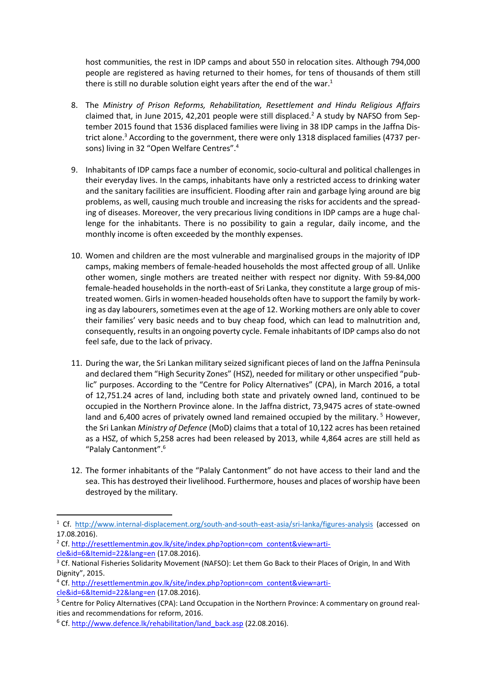host communities, the rest in IDP camps and about 550 in relocation sites. Although 794,000 people are registered as having returned to their homes, for tens of thousands of them still there is still no durable solution eight years after the end of the war. $1$ 

- 8. The *Ministry of Prison Reforms, Rehabilitation, Resettlement and Hindu Religious Affairs* claimed that, in June 2015, 42,201 people were still displaced.<sup>2</sup> A study by NAFSO from September 2015 found that 1536 displaced families were living in 38 IDP camps in the Jaffna District alone.<sup>3</sup> According to the government, there were only 1318 displaced families (4737 persons) living in 32 "Open Welfare Centres".<sup>4</sup>
- 9. Inhabitants of IDP camps face a number of economic, socio-cultural and political challenges in their everyday lives. In the camps, inhabitants have only a restricted access to drinking water and the sanitary facilities are insufficient. Flooding after rain and garbage lying around are big problems, as well, causing much trouble and increasing the risks for accidents and the spreading of diseases. Moreover, the very precarious living conditions in IDP camps are a huge challenge for the inhabitants. There is no possibility to gain a regular, daily income, and the monthly income is often exceeded by the monthly expenses.
- 10. Women and children are the most vulnerable and marginalised groups in the majority of IDP camps, making members of female-headed households the most affected group of all. Unlike other women, single mothers are treated neither with respect nor dignity. With 59-84,000 female-headed households in the north-east of Sri Lanka, they constitute a large group of mistreated women. Girls in women-headed households often have to support the family by working as day labourers, sometimes even at the age of 12. Working mothers are only able to cover their families' very basic needs and to buy cheap food, which can lead to malnutrition and, consequently, results in an ongoing poverty cycle. Female inhabitants of IDP camps also do not feel safe, due to the lack of privacy.
- 11. During the war, the Sri Lankan military seized significant pieces of land on the Jaffna Peninsula and declared them "High Security Zones" (HSZ), needed for military or other unspecified "public" purposes. According to the "Centre for Policy Alternatives" (CPA), in March 2016, a total of 12,751.24 acres of land, including both state and privately owned land, continued to be occupied in the Northern Province alone. In the Jaffna district, 73,9475 acres of state-owned land and 6,400 acres of privately owned land remained occupied by the military.<sup>5</sup> However, the Sri Lankan *Ministry of Defence* (MoD) claims that a total of 10,122 acres has been retained as a HSZ, of which 5,258 acres had been released by 2013, while 4,864 acres are still held as "Palaly Cantonment".<sup>6</sup>
- 12. The former inhabitants of the "Palaly Cantonment" do not have access to their land and the sea. This has destroyed their livelihood. Furthermore, houses and places of worship have been destroyed by the military.

**.** 

<sup>&</sup>lt;sup>1</sup> Cf. <http://www.internal-displacement.org/south-and-south-east-asia/sri-lanka/figures-analysis> (accessed on 17.08.2016).

<sup>&</sup>lt;sup>2</sup> Cf[. http://resettlementmin.gov.lk/site/index.php?option=com\\_content&view=arti](http://resettlementmin.gov.lk/site/index.php?option=com_content&view=article&id=6&Itemid=22&lang=en)[cle&id=6&Itemid=22&lang=en](http://resettlementmin.gov.lk/site/index.php?option=com_content&view=article&id=6&Itemid=22&lang=en) (17.08.2016).

<sup>&</sup>lt;sup>3</sup> Cf. National Fisheries Solidarity Movement (NAFSO): Let them Go Back to their Places of Origin, In and With Dignity", 2015.

<sup>4</sup> Cf[. http://resettlementmin.gov.lk/site/index.php?option=com\\_content&view=arti](http://resettlementmin.gov.lk/site/index.php?option=com_content&view=article&id=6&Itemid=22&lang=en)[cle&id=6&Itemid=22&lang=en](http://resettlementmin.gov.lk/site/index.php?option=com_content&view=article&id=6&Itemid=22&lang=en) (17.08.2016).

<sup>&</sup>lt;sup>5</sup> Centre for Policy Alternatives (CPA): Land Occupation in the Northern Province: A commentary on ground realities and recommendations for reform, 2016.

 $6$  Cf. [http://www.defence.lk/rehabilitation/land\\_back.asp](http://www.defence.lk/rehabilitation/land_back.asp) (22.08.2016).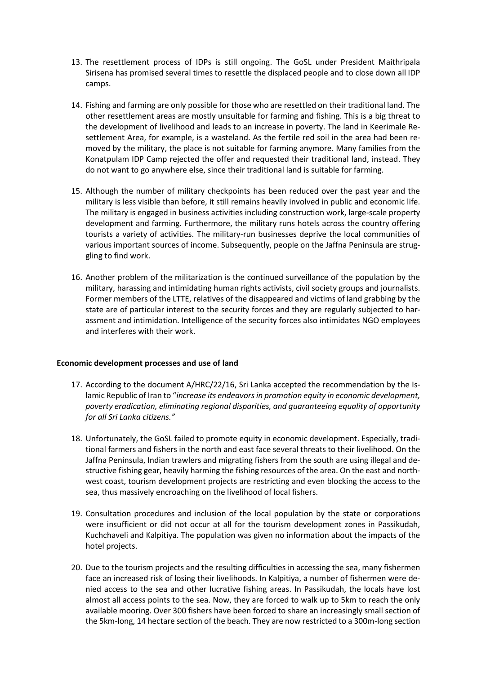- 13. The resettlement process of IDPs is still ongoing. The GoSL under President Maithripala Sirisena has promised several times to resettle the displaced people and to close down all IDP camps.
- 14. Fishing and farming are only possible for those who are resettled on their traditional land. The other resettlement areas are mostly unsuitable for farming and fishing. This is a big threat to the development of livelihood and leads to an increase in poverty. The land in Keerimale Resettlement Area, for example, is a wasteland. As the fertile red soil in the area had been removed by the military, the place is not suitable for farming anymore. Many families from the Konatpulam IDP Camp rejected the offer and requested their traditional land, instead. They do not want to go anywhere else, since their traditional land is suitable for farming.
- 15. Although the number of military checkpoints has been reduced over the past year and the military is less visible than before, it still remains heavily involved in public and economic life. The military is engaged in business activities including construction work, large-scale property development and farming. Furthermore, the military runs hotels across the country offering tourists a variety of activities. The military-run businesses deprive the local communities of various important sources of income. Subsequently, people on the Jaffna Peninsula are struggling to find work.
- 16. Another problem of the militarization is the continued surveillance of the population by the military, harassing and intimidating human rights activists, civil society groups and journalists. Former members of the LTTE, relatives of the disappeared and victims of land grabbing by the state are of particular interest to the security forces and they are regularly subjected to harassment and intimidation. Intelligence of the security forces also intimidates NGO employees and interferes with their work.

#### **Economic development processes and use of land**

- 17. According to the document A/HRC/22/16, Sri Lanka accepted the recommendation by the Islamic Republic of Iran to "*increase its endeavors in promotion equity in economic development, poverty eradication, eliminating regional disparities, and guaranteeing equality of opportunity for all Sri Lanka citizens."*
- 18. Unfortunately, the GoSL failed to promote equity in economic development. Especially, traditional farmers and fishers in the north and east face several threats to their livelihood. On the Jaffna Peninsula, Indian trawlers and migrating fishers from the south are using illegal and destructive fishing gear, heavily harming the fishing resources of the area. On the east and northwest coast, tourism development projects are restricting and even blocking the access to the sea, thus massively encroaching on the livelihood of local fishers.
- 19. Consultation procedures and inclusion of the local population by the state or corporations were insufficient or did not occur at all for the tourism development zones in Passikudah, Kuchchaveli and Kalpitiya. The population was given no information about the impacts of the hotel projects.
- 20. Due to the tourism projects and the resulting difficulties in accessing the sea, many fishermen face an increased risk of losing their livelihoods. In Kalpitiya, a number of fishermen were denied access to the sea and other lucrative fishing areas. In Passikudah, the locals have lost almost all access points to the sea. Now, they are forced to walk up to 5km to reach the only available mooring. Over 300 fishers have been forced to share an increasingly small section of the 5km-long, 14 hectare section of the beach. They are now restricted to a 300m-long section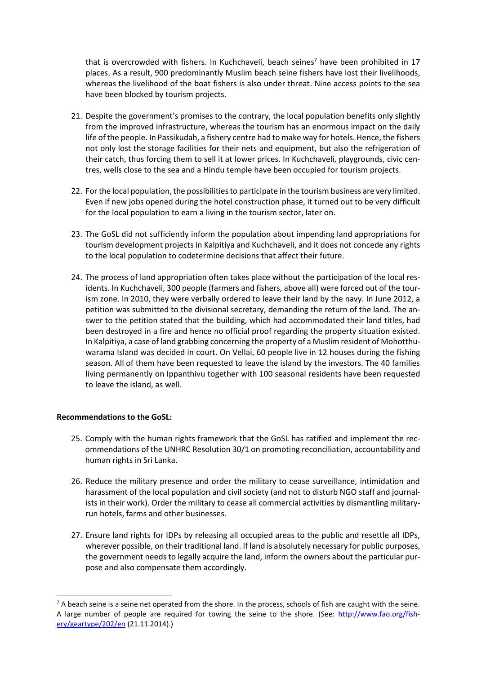that is overcrowded with fishers. In Kuchchaveli, beach seines<sup>7</sup> have been prohibited in 17 places. As a result, 900 predominantly Muslim beach seine fishers have lost their livelihoods, whereas the livelihood of the boat fishers is also under threat. Nine access points to the sea have been blocked by tourism projects.

- 21. Despite the government's promises to the contrary, the local population benefits only slightly from the improved infrastructure, whereas the tourism has an enormous impact on the daily life of the people. In Passikudah, a fishery centre had to make way for hotels. Hence, the fishers not only lost the storage facilities for their nets and equipment, but also the refrigeration of their catch, thus forcing them to sell it at lower prices. In Kuchchaveli, playgrounds, civic centres, wells close to the sea and a Hindu temple have been occupied for tourism projects.
- 22. For the local population, the possibilities to participate in the tourism business are very limited. Even if new jobs opened during the hotel construction phase, it turned out to be very difficult for the local population to earn a living in the tourism sector, later on.
- 23. The GoSL did not sufficiently inform the population about impending land appropriations for tourism development projects in Kalpitiya and Kuchchaveli, and it does not concede any rights to the local population to codetermine decisions that affect their future.
- 24. The process of land appropriation often takes place without the participation of the local residents. In Kuchchaveli, 300 people (farmers and fishers, above all) were forced out of the tourism zone. In 2010, they were verbally ordered to leave their land by the navy. In June 2012, a petition was submitted to the divisional secretary, demanding the return of the land. The answer to the petition stated that the building, which had accommodated their land titles, had been destroyed in a fire and hence no official proof regarding the property situation existed. In Kalpitiya, a case of land grabbing concerning the property of a Muslim resident of Mohotthuwarama Island was decided in court. On Vellai, 60 people live in 12 houses during the fishing season. All of them have been requested to leave the island by the investors. The 40 families living permanently on Ippanthivu together with 100 seasonal residents have been requested to leave the island, as well.

#### **Recommendations to the GoSL:**

**.** 

- 25. Comply with the human rights framework that the GoSL has ratified and implement the recommendations of the UNHRC Resolution 30/1 on promoting reconciliation, accountability and human rights in Sri Lanka.
- 26. Reduce the military presence and order the military to cease surveillance, intimidation and harassment of the local population and civil society (and not to disturb NGO staff and journalists in their work). Order the military to cease all commercial activities by dismantling militaryrun hotels, farms and other businesses.
- 27. Ensure land rights for IDPs by releasing all occupied areas to the public and resettle all IDPs, wherever possible, on their traditional land. If land is absolutely necessary for public purposes, the government needs to legally acquire the land, inform the owners about the particular purpose and also compensate them accordingly.

 $7$  A beach seine is a seine net operated from the shore. In the process, schools of fish are caught with the seine. A large number of people are required for towing the seine to the shore. (See: [http://www.fao.org/fish](http://www.fao.org/fishery/geartype/202/en)[ery/geartype/202/en](http://www.fao.org/fishery/geartype/202/en) (21.11.2014).)